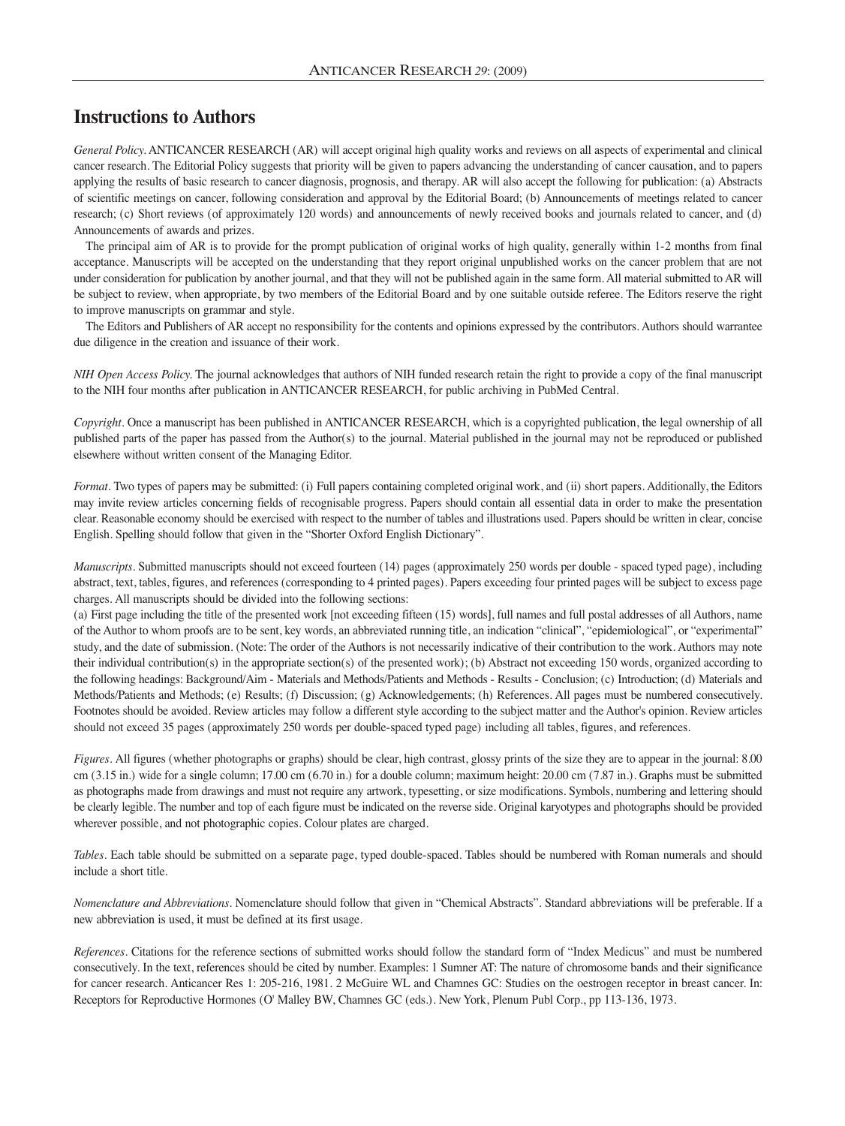## **Instructions to Authors**

*General Policy.* ANTICANCER RESEARCH (AR) will accept original high quality works and reviews on all aspects of experimental and clinical cancer research. The Editorial Policy suggests that priority will be given to papers advancing the understanding of cancer causation, and to papers applying the results of basic research to cancer diagnosis, prognosis, and therapy. AR will also accept the following for publication: (a) Abstracts of scientific meetings on cancer, following consideration and approval by the Editorial Board; (b) Announcements of meetings related to cancer research; (c) Short reviews (of approximately 120 words) and announcements of newly received books and journals related to cancer, and (d) Announcements of awards and prizes.

The principal aim of AR is to provide for the prompt publication of original works of high quality, generally within 1-2 months from final acceptance. Manuscripts will be accepted on the understanding that they report original unpublished works on the cancer problem that are not under consideration for publication by another journal, and that they will not be published again in the same form. All material submitted to AR will be subject to review, when appropriate, by two members of the Editorial Board and by one suitable outside referee. The Editors reserve the right to improve manuscripts on grammar and style.

The Editors and Publishers of AR accept no responsibility for the contents and opinions expressed by the contributors. Authors should warrantee due diligence in the creation and issuance of their work.

*NIH Open Access Policy.* The journal acknowledges that authors of NIH funded research retain the right to provide a copy of the final manuscript to the NIH four months after publication in ANTICANCER RESEARCH, for public archiving in PubMed Central.

*Copyright.* Once a manuscript has been published in ANTICANCER RESEARCH, which is a copyrighted publication, the legal ownership of all published parts of the paper has passed from the Author(s) to the journal. Material published in the journal may not be reproduced or published elsewhere without written consent of the Managing Editor.

*Format.* Two types of papers may be submitted: (i) Full papers containing completed original work, and (ii) short papers. Additionally, the Editors may invite review articles concerning fields of recognisable progress. Papers should contain all essential data in order to make the presentation clear. Reasonable economy should be exercised with respect to the number of tables and illustrations used. Papers should be written in clear, concise English. Spelling should follow that given in the "Shorter Oxford English Dictionary".

*Manuscripts.* Submitted manuscripts should not exceed fourteen (14) pages (approximately 250 words per double - spaced typed page), including abstract, text, tables, figures, and references (corresponding to 4 printed pages). Papers exceeding four printed pages will be subject to excess page charges. All manuscripts should be divided into the following sections:

(a) First page including the title of the presented work [not exceeding fifteen (15) words], full names and full postal addresses of all Authors, name of the Author to whom proofs are to be sent, key words, an abbreviated running title, an indication "clinical", "epidemiological", or "experimental" study, and the date of submission. (Note: The order of the Authors is not necessarily indicative of their contribution to the work. Authors may note their individual contribution(s) in the appropriate section(s) of the presented work); (b) Abstract not exceeding 150 words, organized according to the following headings: Background/Aim - Materials and Methods/Patients and Methods - Results - Conclusion; (c) Introduction; (d) Materials and Methods/Patients and Methods; (e) Results; (f) Discussion; (g) Acknowledgements; (h) References. All pages must be numbered consecutively. Footnotes should be avoided. Review articles may follow a different style according to the subject matter and the Author's opinion. Review articles should not exceed 35 pages (approximately 250 words per double-spaced typed page) including all tables, figures, and references.

*Figures.* All figures (whether photographs or graphs) should be clear, high contrast, glossy prints of the size they are to appear in the journal: 8.00 cm (3.15 in.) wide for a single column; 17.00 cm (6.70 in.) for a double column; maximum height: 20.00 cm (7.87 in.). Graphs must be submitted as photographs made from drawings and must not require any artwork, typesetting, or size modifications. Symbols, numbering and lettering should be clearly legible. The number and top of each figure must be indicated on the reverse side. Original karyotypes and photographs should be provided wherever possible, and not photographic copies. Colour plates are charged.

*Tables.* Each table should be submitted on a separate page, typed double-spaced. Tables should be numbered with Roman numerals and should include a short title.

*Nomenclature and Abbreviations.* Nomenclature should follow that given in "Chemical Abstracts". Standard abbreviations will be preferable. If a new abbreviation is used, it must be defined at its first usage.

*References.* Citations for the reference sections of submitted works should follow the standard form of "Index Medicus" and must be numbered consecutively. In the text, references should be cited by number. Examples: 1 Sumner AT: The nature of chromosome bands and their significance for cancer research. Anticancer Res 1: 205-216, 1981. 2 McGuire WL and Chamnes GC: Studies on the oestrogen receptor in breast cancer. In: Receptors for Reproductive Hormones (O' Malley BW, Chamnes GC (eds.). New York, Plenum Publ Corp., pp 113-136, 1973.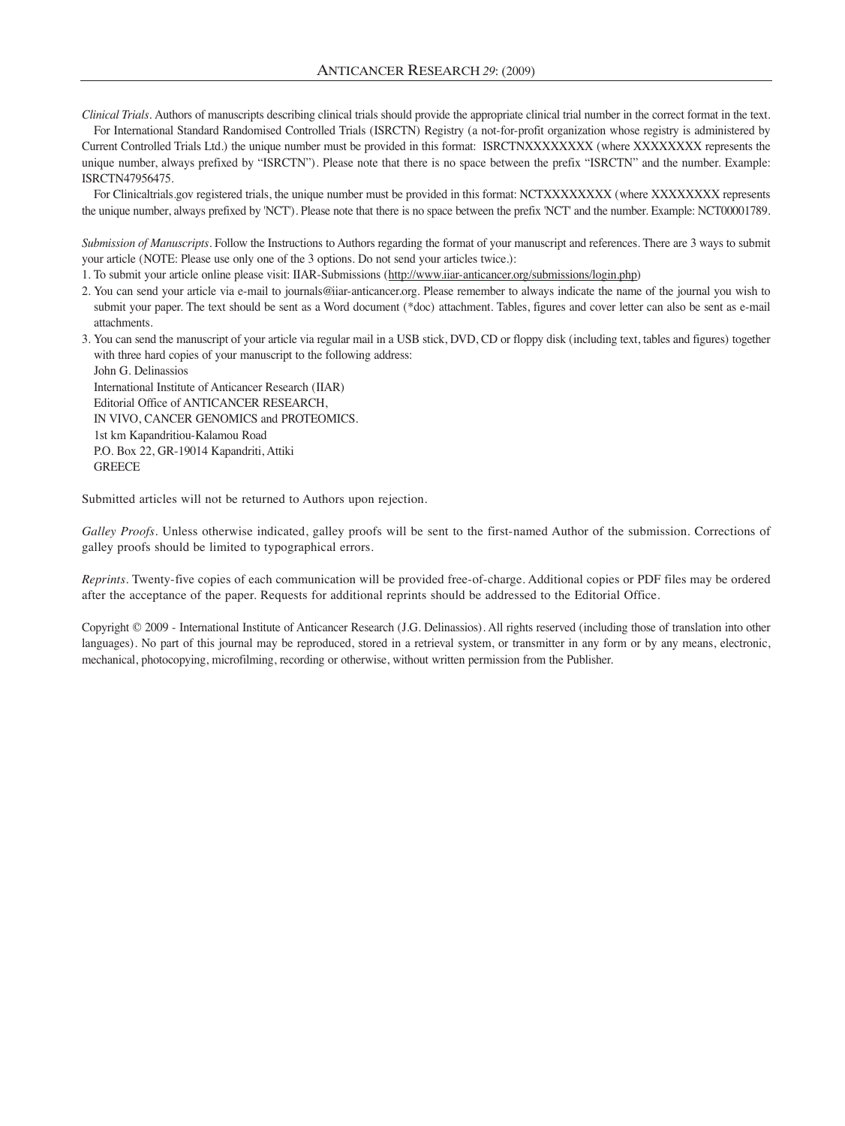*Clinical Trials.* Authors of manuscripts describing clinical trials should provide the appropriate clinical trial number in the correct format in the text.

For International Standard Randomised Controlled Trials (ISRCTN) Registry (a not-for-profit organization whose registry is administered by Current Controlled Trials Ltd.) the unique number must be provided in this format: ISRCTNXXXXXXXX (where XXXXXXXX represents the unique number, always prefixed by "ISRCTN"). Please note that there is no space between the prefix "ISRCTN" and the number. Example: ISRCTN47956475.

For Clinicaltrials.gov registered trials, the unique number must be provided in this format: NCTXXXXXXXX (where XXXXXXXX represents the unique number, always prefixed by 'NCT'). Please note that there is no space between the prefix 'NCT' and the number. Example: NCT00001789.

*Submission of Manuscripts.* Follow the Instructions to Authors regarding the format of your manuscript and references. There are 3 ways to submit your article (NOTE: Please use only one of the 3 options. Do not send your articles twice.):

1. To submit your article online please visit: IIAR-Submissions (http://www.iiar-anticancer.org/submissions/login.php)

- 2. You can send your article via e-mail to journals@iiar-anticancer.org. Please remember to always indicate the name of the journal you wish to submit your paper. The text should be sent as a Word document (\*doc) attachment. Tables, figures and cover letter can also be sent as e-mail attachments.
- 3. You can send the manuscript of your article via regular mail in a USB stick, DVD, CD or floppy disk (including text, tables and figures) together with three hard copies of your manuscript to the following address:

John G. Delinassios International Institute of Anticancer Research (IIAR) Editorial Office of ANTICANCER RESEARCH, IN VIVO, CANCER GENOMICS and PROTEOMICS. 1st km Kapandritiou-Kalamou Road P.O. Box 22, GR-19014 Kapandriti, Attiki **GREECE** 

Submitted articles will not be returned to Authors upon rejection.

*Galley Proofs.* Unless otherwise indicated, galley proofs will be sent to the first-named Author of the submission. Corrections of galley proofs should be limited to typographical errors.

*Reprints.* Twenty-five copies of each communication will be provided free-of-charge. Additional copies or PDF files may be ordered after the acceptance of the paper. Requests for additional reprints should be addressed to the Editorial Office.

Copyright © 2009 - International Institute of Anticancer Research (J.G. Delinassios). All rights reserved (including those of translation into other languages). No part of this journal may be reproduced, stored in a retrieval system, or transmitter in any form or by any means, electronic, mechanical, photocopying, microfilming, recording or otherwise, without written permission from the Publisher.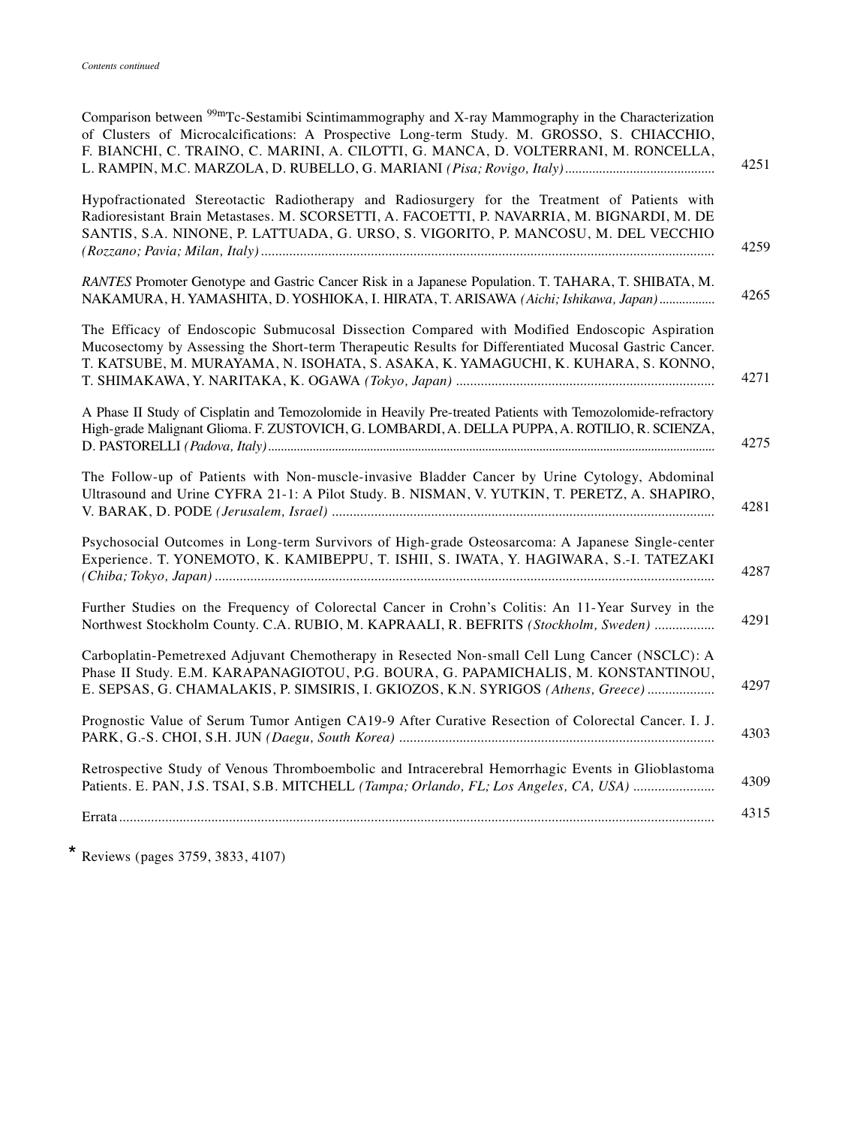| Comparison between <sup>99m</sup> Tc-Sestamibi Scintimammography and X-ray Mammography in the Characterization<br>of Clusters of Microcalcifications: A Prospective Long-term Study. M. GROSSO, S. CHIACCHIO,<br>F. BIANCHI, C. TRAINO, C. MARINI, A. CILOTTI, G. MANCA, D. VOLTERRANI, M. RONCELLA, |
|------------------------------------------------------------------------------------------------------------------------------------------------------------------------------------------------------------------------------------------------------------------------------------------------------|
| Hypofractionated Stereotactic Radiotherapy and Radiosurgery for the Treatment of Patients with<br>Radioresistant Brain Metastases. M. SCORSETTI, A. FACOETTI, P. NAVARRIA, M. BIGNARDI, M. DE<br>SANTIS, S.A. NINONE, P. LATTUADA, G. URSO, S. VIGORITO, P. MANCOSU, M. DEL VECCHIO                  |
| RANTES Promoter Genotype and Gastric Cancer Risk in a Japanese Population. T. TAHARA, T. SHIBATA, M.<br>NAKAMURA, H. YAMASHITA, D. YOSHIOKA, I. HIRATA, T. ARISAWA (Aichi; Ishikawa, Japan)                                                                                                          |
| The Efficacy of Endoscopic Submucosal Dissection Compared with Modified Endoscopic Aspiration<br>Mucosectomy by Assessing the Short-term Therapeutic Results for Differentiated Mucosal Gastric Cancer.<br>T. KATSUBE, M. MURAYAMA, N. ISOHATA, S. ASAKA, K. YAMAGUCHI, K. KUHARA, S. KONNO,         |
| A Phase II Study of Cisplatin and Temozolomide in Heavily Pre-treated Patients with Temozolomide-refractory<br>High-grade Malignant Glioma. F. ZUSTOVICH, G. LOMBARDI, A. DELLA PUPPA, A. ROTILIO, R. SCIENZA,                                                                                       |
| The Follow-up of Patients with Non-muscle-invasive Bladder Cancer by Urine Cytology, Abdominal<br>Ultrasound and Urine CYFRA 21-1: A Pilot Study. B. NISMAN, V. YUTKIN, T. PERETZ, A. SHAPIRO,                                                                                                       |
| Psychosocial Outcomes in Long-term Survivors of High-grade Osteosarcoma: A Japanese Single-center<br>Experience. T. YONEMOTO, K. KAMIBEPPU, T. ISHII, S. IWATA, Y. HAGIWARA, S.-I. TATEZAKI                                                                                                          |
| Further Studies on the Frequency of Colorectal Cancer in Crohn's Colitis: An 11-Year Survey in the<br>Northwest Stockholm County. C.A. RUBIO, M. KAPRAALI, R. BEFRITS (Stockholm, Sweden)                                                                                                            |
| Carboplatin-Pemetrexed Adjuvant Chemotherapy in Resected Non-small Cell Lung Cancer (NSCLC): A<br>Phase II Study. E.M. KARAPANAGIOTOU, P.G. BOURA, G. PAPAMICHALIS, M. KONSTANTINOU,<br>E. SEPSAS, G. CHAMALAKIS, P. SIMSIRIS, I. GKIOZOS, K.N. SYRIGOS (Athens, Greece)                             |
| Prognostic Value of Serum Tumor Antigen CA19-9 After Curative Resection of Colorectal Cancer. I. J.                                                                                                                                                                                                  |
| Retrospective Study of Venous Thromboembolic and Intracerebral Hemorrhagic Events in Glioblastoma<br>Patients. E. PAN, J.S. TSAI, S.B. MITCHELL (Tampa; Orlando, FL; Los Angeles, CA, USA)                                                                                                           |
| 4315                                                                                                                                                                                                                                                                                                 |
|                                                                                                                                                                                                                                                                                                      |

\* Reviews (pages 3759, 3833, 4107)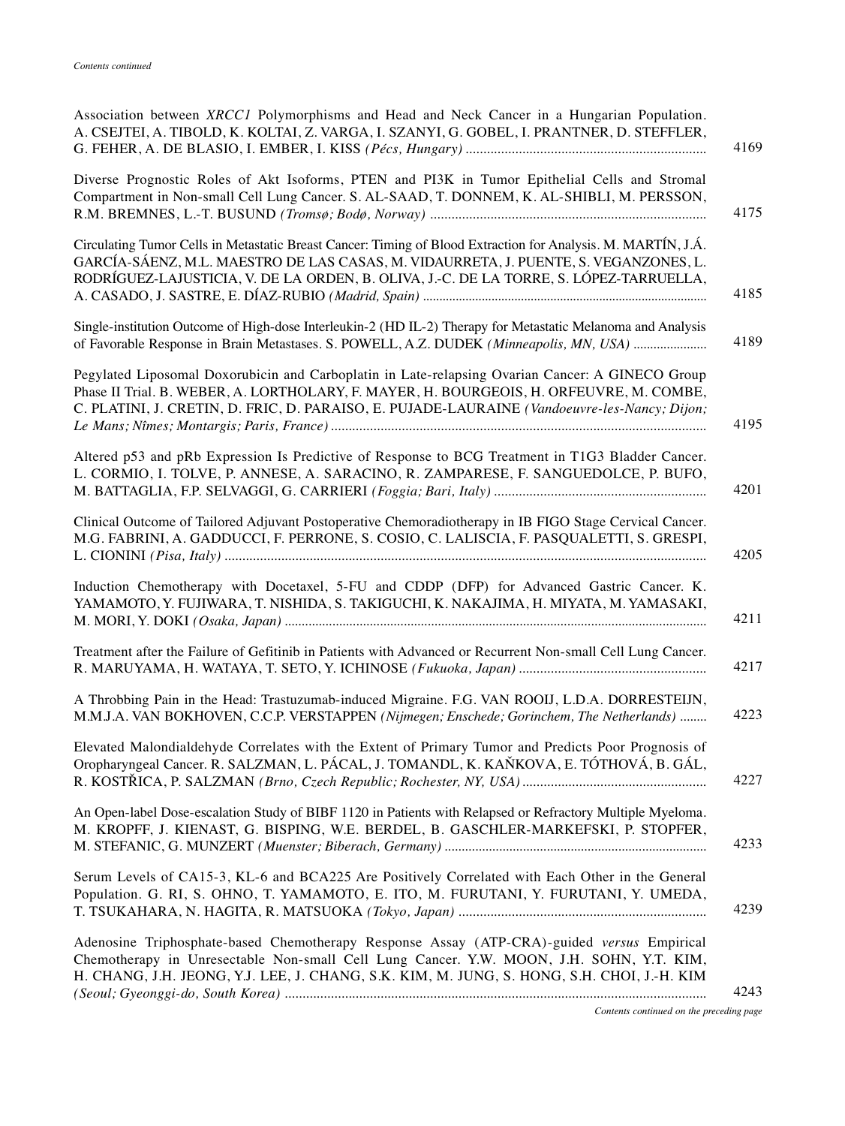| Association between XRCC1 Polymorphisms and Head and Neck Cancer in a Hungarian Population.<br>A. CSEJTEI, A. TIBOLD, K. KOLTAI, Z. VARGA, I. SZANYI, G. GOBEL, I. PRANTNER, D. STEFFLER,<br>4169                                                                                                       |
|---------------------------------------------------------------------------------------------------------------------------------------------------------------------------------------------------------------------------------------------------------------------------------------------------------|
| Diverse Prognostic Roles of Akt Isoforms, PTEN and PI3K in Tumor Epithelial Cells and Stromal<br>Compartment in Non-small Cell Lung Cancer. S. AL-SAAD, T. DONNEM, K. AL-SHIBLI, M. PERSSON,<br>4175                                                                                                    |
| Circulating Tumor Cells in Metastatic Breast Cancer: Timing of Blood Extraction for Analysis. M. MARTÍN, J.Á.<br>GARCÍA-SÁENZ, M.L. MAESTRO DE LAS CASAS, M. VIDAURRETA, J. PUENTE, S. VEGANZONES, L.<br>RODRÍGUEZ-LAJUSTICIA, V. DE LA ORDEN, B. OLIVA, J.-C. DE LA TORRE, S. LÓPEZ-TARRUELLA,<br>4185 |
| Single-institution Outcome of High-dose Interleukin-2 (HD IL-2) Therapy for Metastatic Melanoma and Analysis<br>4189<br>of Favorable Response in Brain Metastases. S. POWELL, A.Z. DUDEK (Minneapolis, MN, USA)                                                                                         |
| Pegylated Liposomal Doxorubicin and Carboplatin in Late-relapsing Ovarian Cancer: A GINECO Group<br>Phase II Trial. B. WEBER, A. LORTHOLARY, F. MAYER, H. BOURGEOIS, H. ORFEUVRE, M. COMBE,<br>C. PLATINI, J. CRETIN, D. FRIC, D. PARAISO, E. PUJADE-LAURAINE (Vandoeuvre-les-Nancy; Dijon;<br>4195     |
| Altered p53 and pRb Expression Is Predictive of Response to BCG Treatment in T1G3 Bladder Cancer.<br>L. CORMIO, I. TOLVE, P. ANNESE, A. SARACINO, R. ZAMPARESE, F. SANGUEDOLCE, P. BUFO,<br>4201                                                                                                        |
| Clinical Outcome of Tailored Adjuvant Postoperative Chemoradiotherapy in IB FIGO Stage Cervical Cancer.<br>M.G. FABRINI, A. GADDUCCI, F. PERRONE, S. COSIO, C. LALISCIA, F. PASQUALETTI, S. GRESPI,<br>4205                                                                                             |
| Induction Chemotherapy with Docetaxel, 5-FU and CDDP (DFP) for Advanced Gastric Cancer. K.<br>YAMAMOTO, Y. FUJIWARA, T. NISHIDA, S. TAKIGUCHI, K. NAKAJIMA, H. MIYATA, M. YAMASAKI,<br>4211                                                                                                             |
| Treatment after the Failure of Gefitinib in Patients with Advanced or Recurrent Non-small Cell Lung Cancer.<br>4217                                                                                                                                                                                     |
| A Throbbing Pain in the Head: Trastuzumab-induced Migraine. F.G. VAN ROOIJ, L.D.A. DORRESTEIJN,<br>4223<br>M.M.J.A. VAN BOKHOVEN, C.C.P. VERSTAPPEN (Nijmegen; Enschede; Gorinchem, The Netherlands)                                                                                                    |
| Elevated Malondialdehyde Correlates with the Extent of Primary Tumor and Predicts Poor Prognosis of<br>Oropharyngeal Cancer. R. SALZMAN, L. PÁCAL, J. TOMANDL, K. KAŇKOVA, E. TÓTHOVÁ, B. GÁL,<br>4227                                                                                                  |
| An Open-label Dose-escalation Study of BIBF 1120 in Patients with Relapsed or Refractory Multiple Myeloma.<br>M. KROPFF, J. KIENAST, G. BISPING, W.E. BERDEL, B. GASCHLER-MARKEFSKI, P. STOPFER,<br>4233                                                                                                |
| Serum Levels of CA15-3, KL-6 and BCA225 Are Positively Correlated with Each Other in the General<br>Population. G. RI, S. OHNO, T. YAMAMOTO, E. ITO, M. FURUTANI, Y. FURUTANI, Y. UMEDA,<br>4239                                                                                                        |
| Adenosine Triphosphate-based Chemotherapy Response Assay (ATP-CRA)-guided versus Empirical<br>Chemotherapy in Unresectable Non-small Cell Lung Cancer. Y.W. MOON, J.H. SOHN, Y.T. KIM,<br>H. CHANG, J.H. JEONG, Y.J. LEE, J. CHANG, S.K. KIM, M. JUNG, S. HONG, S.H. CHOI, J.-H. KIM<br>4243            |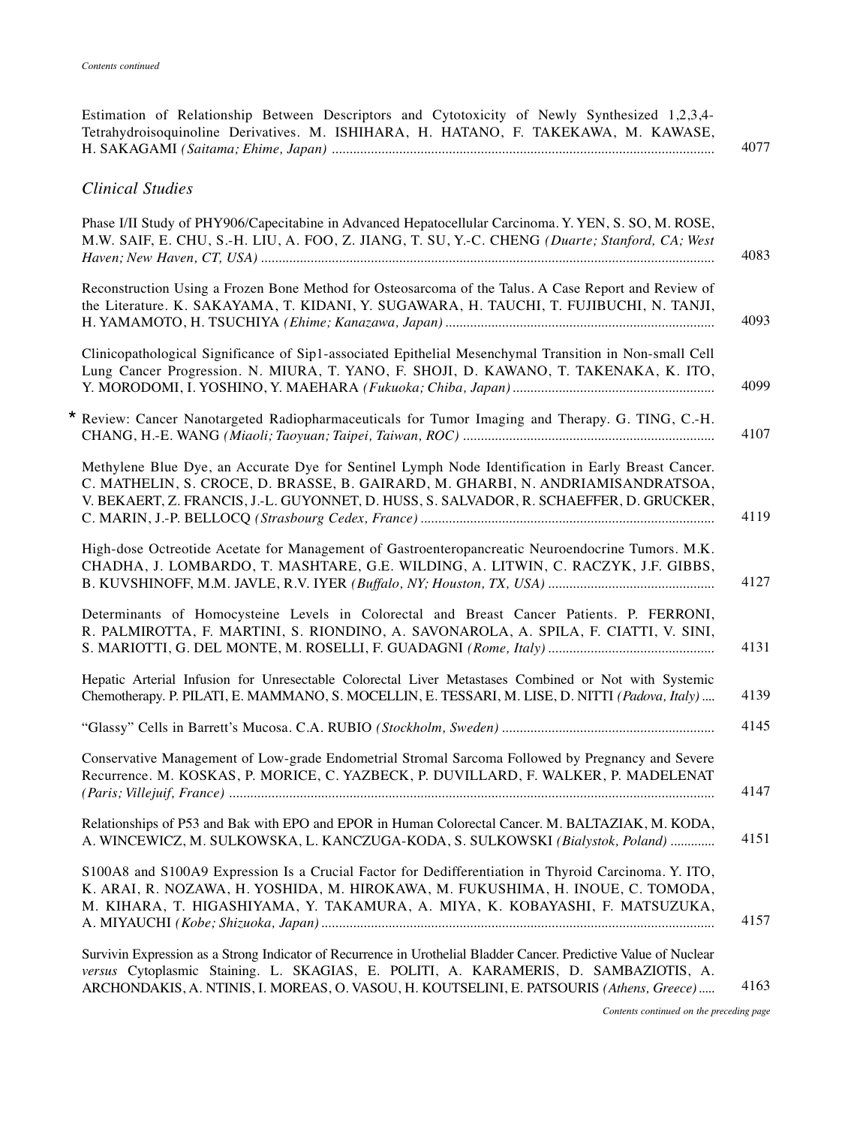| <b>Clinical Studies</b>                                                                                                                                                                                                                                                          |
|----------------------------------------------------------------------------------------------------------------------------------------------------------------------------------------------------------------------------------------------------------------------------------|
| Phase I/II Study of PHY906/Capecitabine in Advanced Hepatocellular Carcinoma. Y. YEN, S. SO, M. ROSE,<br>M.W. SAIF, E. CHU, S.-H. LIU, A. FOO, Z. JIANG, T. SU, Y.-C. CHENG (Duarte; Stanford, CA; West                                                                          |
| Reconstruction Using a Frozen Bone Method for Osteosarcoma of the Talus. A Case Report and Review of<br>the Literature. K. SAKAYAMA, T. KIDANI, Y. SUGAWARA, H. TAUCHI, T. FUJIBUCHI, N. TANJI,                                                                                  |
| Clinicopathological Significance of Sip1-associated Epithelial Mesenchymal Transition in Non-small Cell<br>Lung Cancer Progression. N. MIURA, T. YANO, F. SHOJI, D. KAWANO, T. TAKENAKA, K. ITO,                                                                                 |
| * Review: Cancer Nanotargeted Radiopharmaceuticals for Tumor Imaging and Therapy. G. TING, C.-H.                                                                                                                                                                                 |
| Methylene Blue Dye, an Accurate Dye for Sentinel Lymph Node Identification in Early Breast Cancer.<br>C. MATHELIN, S. CROCE, D. BRASSE, B. GAIRARD, M. GHARBI, N. ANDRIAMISANDRATSOA,<br>V. BEKAERT, Z. FRANCIS, J.-L. GUYONNET, D. HUSS, S. SALVADOR, R. SCHAEFFER, D. GRUCKER, |
| High-dose Octreotide Acetate for Management of Gastroenteropancreatic Neuroendocrine Tumors. M.K.<br>CHADHA, J. LOMBARDO, T. MASHTARE, G.E. WILDING, A. LITWIN, C. RACZYK, J.F. GIBBS,                                                                                           |
| Determinants of Homocysteine Levels in Colorectal and Breast Cancer Patients. P. FERRONI,<br>R. PALMIROTTA, F. MARTINI, S. RIONDINO, A. SAVONAROLA, A. SPILA, F. CIATTI, V. SINI,                                                                                                |
| Hepatic Arterial Infusion for Unresectable Colorectal Liver Metastases Combined or Not with Systemic<br>Chemotherapy. P. PILATI, E. MAMMANO, S. MOCELLIN, E. TESSARI, M. LISE, D. NITTI (Padova, Italy)                                                                          |
|                                                                                                                                                                                                                                                                                  |
| Conservative Management of Low-grade Endometrial Stromal Sarcoma Followed by Pregnancy and Severe<br>Recurrence, M. KOSKAS, P. MORICE, C. YAZBECK, P. DUVILLARD, F. WALKER, P. MADELENAT                                                                                         |
| Relationships of P53 and Bak with EPO and EPOR in Human Colorectal Cancer. M. BALTAZIAK, M. KODA,<br>A. WINCEWICZ, M. SULKOWSKA, L. KANCZUGA-KODA, S. SULKOWSKI (Bialystok, Poland)                                                                                              |
| S100A8 and S100A9 Expression Is a Crucial Factor for Dedifferentiation in Thyroid Carcinoma. Y. ITO,<br>K. ARAI, R. NOZAWA, H. YOSHIDA, M. HIROKAWA, M. FUKUSHIMA, H. INOUE, C. TOMODA,<br>M. KIHARA, T. HIGASHIYAMA, Y. TAKAMURA, A. MIYA, K. KOBAYASHI, F. MATSUZUKA,          |
| Survivin Expression as a Strong Indicator of Recurrence in Urothelial Bladder Cancer. Predictive Value of Nuclear<br>versus Cytoplasmic Staining. L. SKAGIAS, E. POLITI, A. KARAMERIS, D. SAMBAZIOTIS, A.                                                                        |

Estimation of Relationship Between Descriptors and Cytotoxicity of Newly Synthesized 1,2,3,4- Tetrahydroisoquinoline Derivatives. M. ISHIHARA, H. HATANO, F. TAKEKAWA, M. KAWASE,

*Contents continued on the preceding page*

4077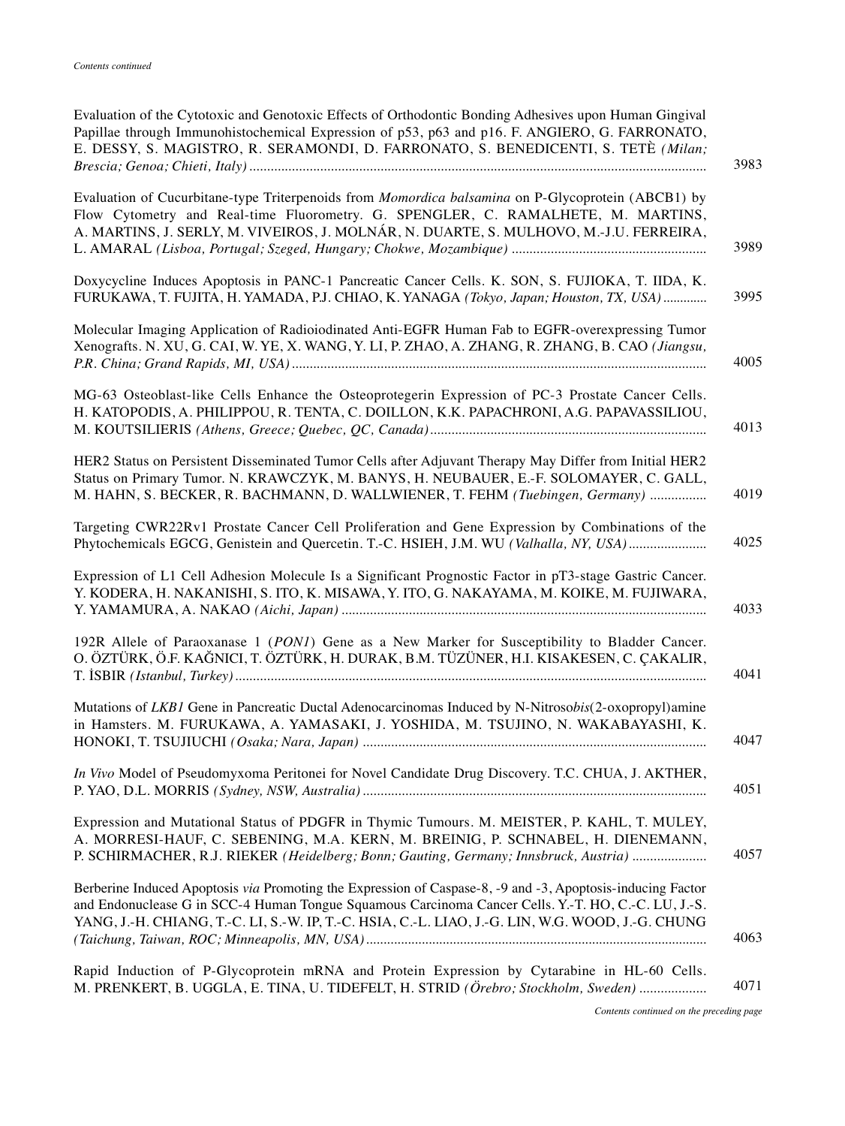| Evaluation of the Cytotoxic and Genotoxic Effects of Orthodontic Bonding Adhesives upon Human Gingival<br>Papillae through Immunohistochemical Expression of p53, p63 and p16. F. ANGIERO, G. FARRONATO,<br>E. DESSY, S. MAGISTRO, R. SERAMONDI, D. FARRONATO, S. BENEDICENTI, S. TETÈ (Milan;                          |
|-------------------------------------------------------------------------------------------------------------------------------------------------------------------------------------------------------------------------------------------------------------------------------------------------------------------------|
| Evaluation of Cucurbitane-type Triterpenoids from <i>Momordica balsamina</i> on P-Glycoprotein (ABCB1) by<br>Flow Cytometry and Real-time Fluorometry. G. SPENGLER, C. RAMALHETE, M. MARTINS,<br>A. MARTINS, J. SERLY, M. VIVEIROS, J. MOLNÁR, N. DUARTE, S. MULHOVO, M.-J.U. FERREIRA,                                 |
| Doxycycline Induces Apoptosis in PANC-1 Pancreatic Cancer Cells. K. SON, S. FUJIOKA, T. IIDA, K.<br>FURUKAWA, T. FUJITA, H. YAMADA, P.J. CHIAO, K. YANAGA (Tokyo, Japan; Houston, TX, USA)                                                                                                                              |
| Molecular Imaging Application of Radioiodinated Anti-EGFR Human Fab to EGFR-overexpressing Tumor<br>Xenografts. N. XU, G. CAI, W. YE, X. WANG, Y. LI, P. ZHAO, A. ZHANG, R. ZHANG, B. CAO (Jiangsu,                                                                                                                     |
| MG-63 Osteoblast-like Cells Enhance the Osteoprotegerin Expression of PC-3 Prostate Cancer Cells.<br>H. KATOPODIS, A. PHILIPPOU, R. TENTA, C. DOILLON, K.K. PAPACHRONI, A.G. PAPAVASSILIOU,                                                                                                                             |
| HER2 Status on Persistent Disseminated Tumor Cells after Adjuvant Therapy May Differ from Initial HER2<br>Status on Primary Tumor. N. KRAWCZYK, M. BANYS, H. NEUBAUER, E.-F. SOLOMAYER, C. GALL,<br>M. HAHN, S. BECKER, R. BACHMANN, D. WALLWIENER, T. FEHM (Tuebingen, Germany)                                        |
| Targeting CWR22Rv1 Prostate Cancer Cell Proliferation and Gene Expression by Combinations of the<br>Phytochemicals EGCG, Genistein and Quercetin. T.-C. HSIEH, J.M. WU (Valhalla, NY, USA)                                                                                                                              |
| Expression of L1 Cell Adhesion Molecule Is a Significant Prognostic Factor in pT3-stage Gastric Cancer.<br>Y. KODERA, H. NAKANISHI, S. ITO, K. MISAWA, Y. ITO, G. NAKAYAMA, M. KOIKE, M. FUJIWARA,                                                                                                                      |
| 192R Allele of Paraoxanase 1 (PON1) Gene as a New Marker for Susceptibility to Bladder Cancer.<br>O. ÖZTÜRK, Ö.F. KAĞNICI, T. ÖZTÜRK, H. DURAK, B.M. TÜZÜNER, H.I. KISAKESEN, C. ÇAKALIR,                                                                                                                               |
| Mutations of LKB1 Gene in Pancreatic Ductal Adenocarcinomas Induced by N-Nitrosobis(2-oxopropyl)amine<br>in Hamsters. M. FURUKAWA, A. YAMASAKI, J. YOSHIDA, M. TSUJINO, N. WAKABAYASHI, K.                                                                                                                              |
| In Vivo Model of Pseudomyxoma Peritonei for Novel Candidate Drug Discovery. T.C. CHUA, J. AKTHER,                                                                                                                                                                                                                       |
| Expression and Mutational Status of PDGFR in Thymic Tumours. M. MEISTER, P. KAHL, T. MULEY,<br>A. MORRESI-HAUF, C. SEBENING, M.A. KERN, M. BREINIG, P. SCHNABEL, H. DIENEMANN,<br>P. SCHIRMACHER, R.J. RIEKER (Heidelberg; Bonn; Gauting, Germany; Innsbruck, Austria)                                                  |
| Berberine Induced Apoptosis via Promoting the Expression of Caspase-8, -9 and -3, Apoptosis-inducing Factor<br>and Endonuclease G in SCC-4 Human Tongue Squamous Carcinoma Cancer Cells. Y.-T. HO, C.-C. LU, J.-S.<br>YANG, J.-H. CHIANG, T.-C. LI, S.-W. IP, T.-C. HSIA, C.-L. LIAO, J.-G. LIN, W.G. WOOD, J.-G. CHUNG |
| Rapid Induction of P-Glycoprotein mRNA and Protein Expression by Cytarabine in HL-60 Cells.<br>M. PRENKERT, B. UGGLA, E. TINA, U. TIDEFELT, H. STRID (Örebro; Stockholm, Sweden)                                                                                                                                        |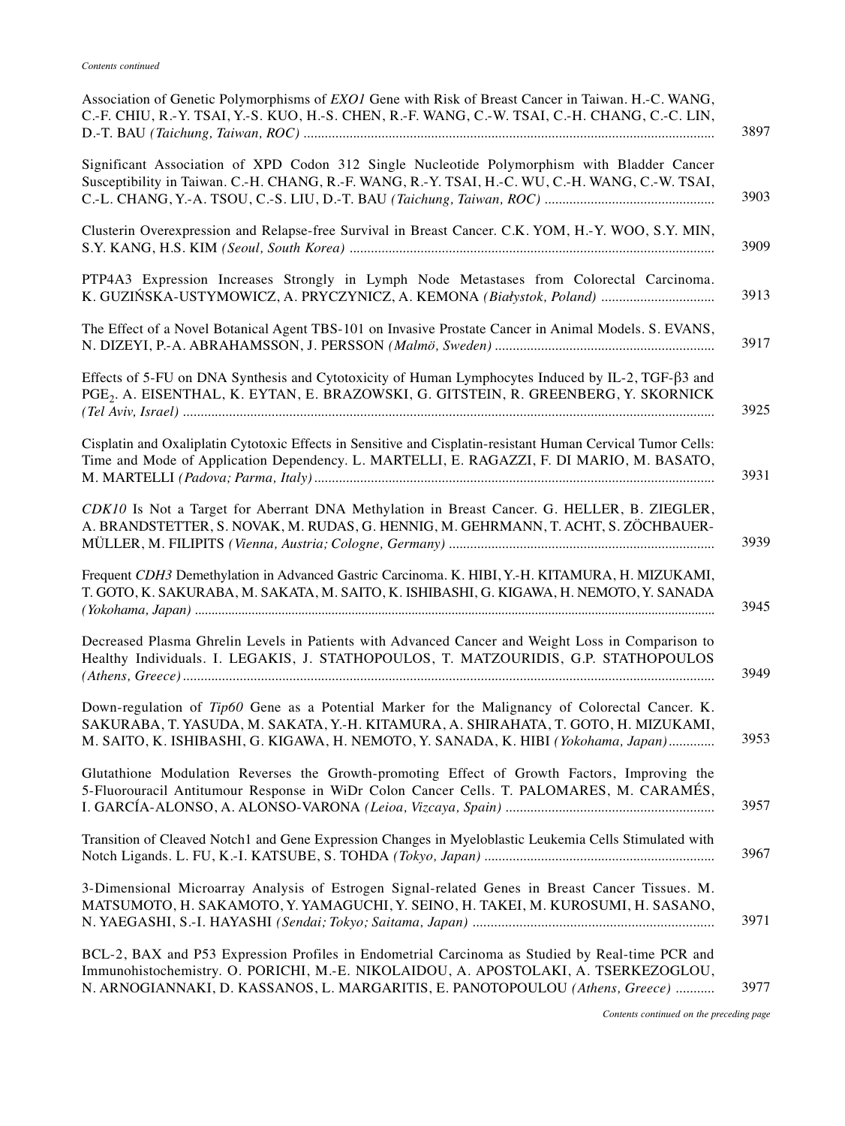| Association of Genetic Polymorphisms of <i>EXO1</i> Gene with Risk of Breast Cancer in Taiwan. H.-C. WANG,<br>C.-F. CHIU, R.-Y. TSAI, Y.-S. KUO, H.-S. CHEN, R.-F. WANG, C.-W. TSAI, C.-H. CHANG, C.-C. LIN,                                                                 |
|------------------------------------------------------------------------------------------------------------------------------------------------------------------------------------------------------------------------------------------------------------------------------|
| Significant Association of XPD Codon 312 Single Nucleotide Polymorphism with Bladder Cancer<br>Susceptibility in Taiwan. C.-H. CHANG, R.-F. WANG, R.-Y. TSAI, H.-C. WU, C.-H. WANG, C.-W. TSAI,                                                                              |
| Clusterin Overexpression and Relapse-free Survival in Breast Cancer. C.K. YOM, H.-Y. WOO, S.Y. MIN,                                                                                                                                                                          |
| PTP4A3 Expression Increases Strongly in Lymph Node Metastases from Colorectal Carcinoma.<br>K. GUZIŃSKA-USTYMOWICZ, A. PRYCZYNICZ, A. KEMONA (Białystok, Poland)                                                                                                             |
| The Effect of a Novel Botanical Agent TBS-101 on Invasive Prostate Cancer in Animal Models. S. EVANS,                                                                                                                                                                        |
| Effects of 5-FU on DNA Synthesis and Cytotoxicity of Human Lymphocytes Induced by IL-2, TGF- $\beta$ 3 and<br>PGE <sub>2</sub> . A. EISENTHAL, K. EYTAN, E. BRAZOWSKI, G. GITSTEIN, R. GREENBERG, Y. SKORNICK                                                                |
| Cisplatin and Oxaliplatin Cytotoxic Effects in Sensitive and Cisplatin-resistant Human Cervical Tumor Cells:<br>Time and Mode of Application Dependency. L. MARTELLI, E. RAGAZZI, F. DI MARIO, M. BASATO,                                                                    |
| CDK10 Is Not a Target for Aberrant DNA Methylation in Breast Cancer. G. HELLER, B. ZIEGLER,<br>A. BRANDSTETTER, S. NOVAK, M. RUDAS, G. HENNIG, M. GEHRMANN, T. ACHT, S. ZÖCHBAUER-                                                                                           |
| Frequent CDH3 Demethylation in Advanced Gastric Carcinoma. K. HIBI, Y.-H. KITAMURA, H. MIZUKAMI,<br>T. GOTO, K. SAKURABA, M. SAKATA, M. SAITO, K. ISHIBASHI, G. KIGAWA, H. NEMOTO, Y. SANADA                                                                                 |
| Decreased Plasma Ghrelin Levels in Patients with Advanced Cancer and Weight Loss in Comparison to<br>Healthy Individuals. I. LEGAKIS, J. STATHOPOULOS, T. MATZOURIDIS, G.P. STATHOPOULOS                                                                                     |
| Down-regulation of Tip60 Gene as a Potential Marker for the Malignancy of Colorectal Cancer. K.<br>SAKURABA, T. YASUDA, M. SAKATA, Y.-H. KITAMURA, A. SHIRAHATA, T. GOTO, H. MIZUKAMI,<br>M. SAITO, K. ISHIBASHI, G. KIGAWA, H. NEMOTO, Y. SANADA, K. HIBI (Yokohama, Japan) |
| Glutathione Modulation Reverses the Growth-promoting Effect of Growth Factors, Improving the<br>5-Fluorouracil Antitumour Response in WiDr Colon Cancer Cells. T. PALOMARES, M. CARAMÉS,                                                                                     |
| Transition of Cleaved Notch1 and Gene Expression Changes in Myeloblastic Leukemia Cells Stimulated with                                                                                                                                                                      |
| 3-Dimensional Microarray Analysis of Estrogen Signal-related Genes in Breast Cancer Tissues. M.<br>MATSUMOTO, H. SAKAMOTO, Y. YAMAGUCHI, Y. SEINO, H. TAKEI, M. KUROSUMI, H. SASANO,                                                                                         |
| BCL-2, BAX and P53 Expression Profiles in Endometrial Carcinoma as Studied by Real-time PCR and<br>Immunohistochemistry. O. PORICHI, M.-E. NIKOLAIDOU, A. APOSTOLAKI, A. TSERKEZOGLOU,<br>N. ARNOGIANNAKI, D. KASSANOS, L. MARGARITIS, E. PANOTOPOULOU (Athens, Greece)      |